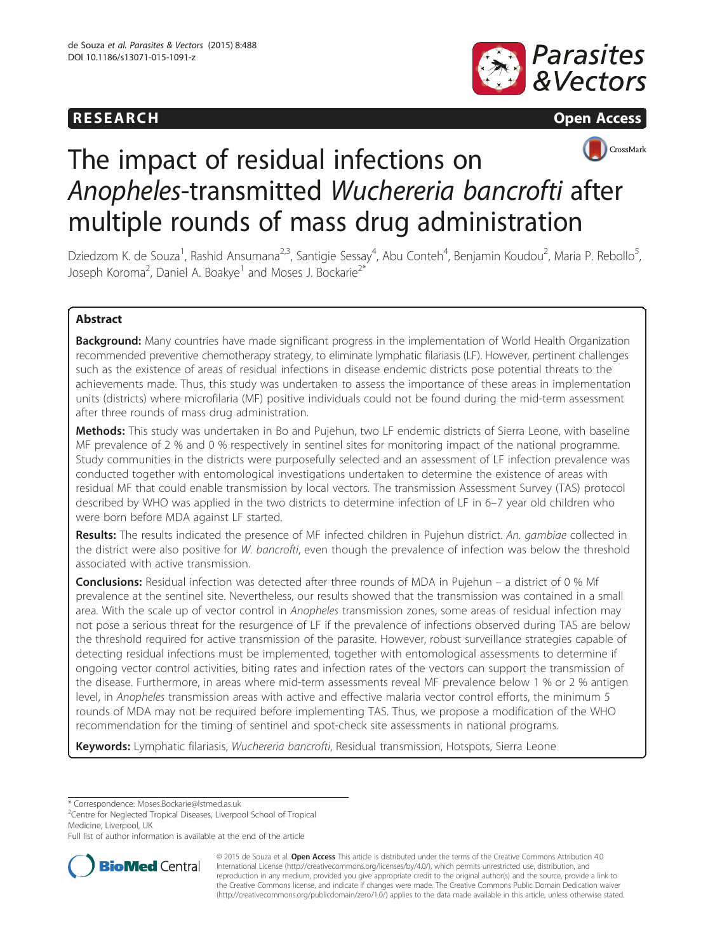## **RESEARCH RESEARCH CONSUMING ACCESS**





# The impact of residual infections on Anopheles-transmitted Wuchereria bancrofti after multiple rounds of mass drug administration

Dziedzom K. de Souza<sup>1</sup>, Rashid Ansumana<sup>2,3</sup>, Santigie Sessay<sup>4</sup>, Abu Conteh<sup>4</sup>, Benjamin Koudou<sup>2</sup>, Maria P. Rebollo<sup>5</sup> , Joseph Koroma<sup>2</sup>, Daniel A. Boakye<sup>1</sup> and Moses J. Bockarie<sup>2\*</sup>

### Abstract

Background: Many countries have made significant progress in the implementation of World Health Organization recommended preventive chemotherapy strategy, to eliminate lymphatic filariasis (LF). However, pertinent challenges such as the existence of areas of residual infections in disease endemic districts pose potential threats to the achievements made. Thus, this study was undertaken to assess the importance of these areas in implementation units (districts) where microfilaria (MF) positive individuals could not be found during the mid-term assessment after three rounds of mass drug administration.

Methods: This study was undertaken in Bo and Pujehun, two LF endemic districts of Sierra Leone, with baseline MF prevalence of 2 % and 0 % respectively in sentinel sites for monitoring impact of the national programme. Study communities in the districts were purposefully selected and an assessment of LF infection prevalence was conducted together with entomological investigations undertaken to determine the existence of areas with residual MF that could enable transmission by local vectors. The transmission Assessment Survey (TAS) protocol described by WHO was applied in the two districts to determine infection of LF in 6–7 year old children who were born before MDA against LF started.

Results: The results indicated the presence of MF infected children in Pujehun district. An. gambiae collected in the district were also positive for W. bancrofti, even though the prevalence of infection was below the threshold associated with active transmission.

Conclusions: Residual infection was detected after three rounds of MDA in Pujehun – a district of 0 % Mf prevalence at the sentinel site. Nevertheless, our results showed that the transmission was contained in a small area. With the scale up of vector control in Anopheles transmission zones, some areas of residual infection may not pose a serious threat for the resurgence of LF if the prevalence of infections observed during TAS are below the threshold required for active transmission of the parasite. However, robust surveillance strategies capable of detecting residual infections must be implemented, together with entomological assessments to determine if ongoing vector control activities, biting rates and infection rates of the vectors can support the transmission of the disease. Furthermore, in areas where mid-term assessments reveal MF prevalence below 1 % or 2 % antigen level, in Anopheles transmission areas with active and effective malaria vector control efforts, the minimum 5 rounds of MDA may not be required before implementing TAS. Thus, we propose a modification of the WHO recommendation for the timing of sentinel and spot-check site assessments in national programs.

Keywords: Lymphatic filariasis, Wuchereria bancrofti, Residual transmission, Hotspots, Sierra Leone

\* Correspondence: [Moses.Bockarie@lstmed.as.uk](mailto:Moses.Bockarie@lstmed.as.uk) <sup>2</sup>

<sup>2</sup>Centre for Neglected Tropical Diseases, Liverpool School of Tropical Medicine, Liverpool, UK

Full list of author information is available at the end of the article



© 2015 de Souza et al. Open Access This article is distributed under the terms of the Creative Commons Attribution 4.0 International License [\(http://creativecommons.org/licenses/by/4.0/](http://creativecommons.org/licenses/by/4.0/)), which permits unrestricted use, distribution, and reproduction in any medium, provided you give appropriate credit to the original author(s) and the source, provide a link to the Creative Commons license, and indicate if changes were made. The Creative Commons Public Domain Dedication waiver [\(http://creativecommons.org/publicdomain/zero/1.0/](http://creativecommons.org/publicdomain/zero/1.0/)) applies to the data made available in this article, unless otherwise stated.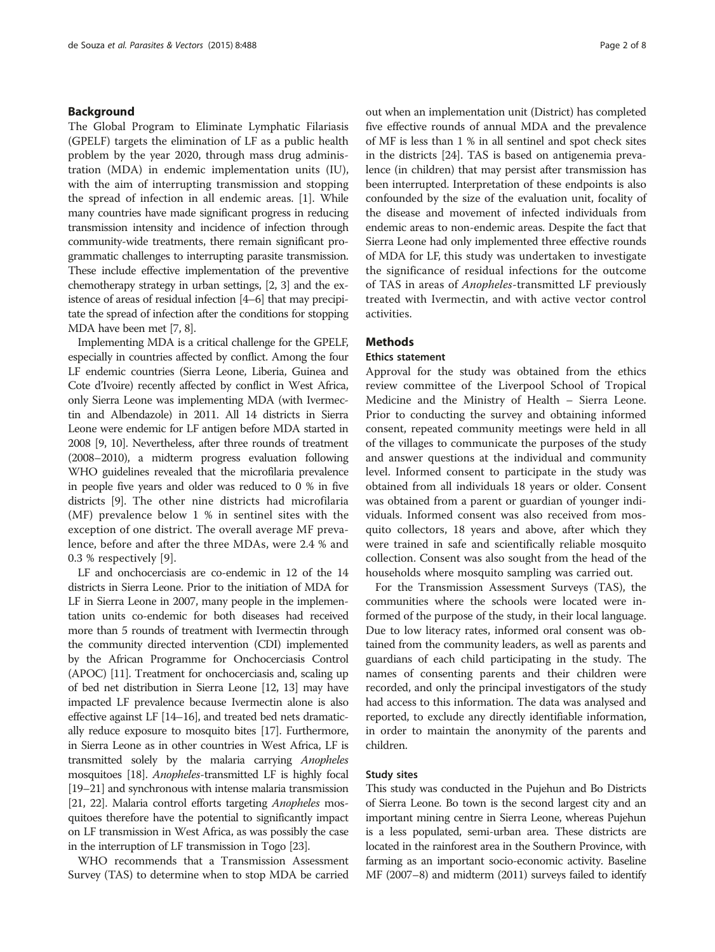#### Background

The Global Program to Eliminate Lymphatic Filariasis (GPELF) targets the elimination of LF as a public health problem by the year 2020, through mass drug administration (MDA) in endemic implementation units (IU), with the aim of interrupting transmission and stopping the spread of infection in all endemic areas. [\[1\]](#page-6-0). While many countries have made significant progress in reducing transmission intensity and incidence of infection through community-wide treatments, there remain significant programmatic challenges to interrupting parasite transmission. These include effective implementation of the preventive chemotherapy strategy in urban settings, [\[2, 3\]](#page-6-0) and the existence of areas of residual infection [\[4](#page-6-0)–[6](#page-6-0)] that may precipitate the spread of infection after the conditions for stopping MDA have been met [\[7, 8](#page-6-0)].

Implementing MDA is a critical challenge for the GPELF, especially in countries affected by conflict. Among the four LF endemic countries (Sierra Leone, Liberia, Guinea and Cote d'Ivoire) recently affected by conflict in West Africa, only Sierra Leone was implementing MDA (with Ivermectin and Albendazole) in 2011. All 14 districts in Sierra Leone were endemic for LF antigen before MDA started in 2008 [\[9, 10\]](#page-6-0). Nevertheless, after three rounds of treatment (2008–2010), a midterm progress evaluation following WHO guidelines revealed that the microfilaria prevalence in people five years and older was reduced to 0 % in five districts [[9](#page-6-0)]. The other nine districts had microfilaria (MF) prevalence below 1 % in sentinel sites with the exception of one district. The overall average MF prevalence, before and after the three MDAs, were 2.4 % and 0.3 % respectively [[9\]](#page-6-0).

LF and onchocerciasis are co-endemic in 12 of the 14 districts in Sierra Leone. Prior to the initiation of MDA for LF in Sierra Leone in 2007, many people in the implementation units co-endemic for both diseases had received more than 5 rounds of treatment with Ivermectin through the community directed intervention (CDI) implemented by the African Programme for Onchocerciasis Control (APOC) [[11](#page-6-0)]. Treatment for onchocerciasis and, scaling up of bed net distribution in Sierra Leone [[12](#page-6-0), [13](#page-6-0)] may have impacted LF prevalence because Ivermectin alone is also effective against LF [\[14](#page-6-0)–[16\]](#page-6-0), and treated bed nets dramatically reduce exposure to mosquito bites [\[17\]](#page-6-0). Furthermore, in Sierra Leone as in other countries in West Africa, LF is transmitted solely by the malaria carrying Anopheles mosquitoes [[18](#page-6-0)]. Anopheles-transmitted LF is highly focal [[19](#page-6-0)–[21](#page-6-0)] and synchronous with intense malaria transmission [[21](#page-6-0), [22\]](#page-6-0). Malaria control efforts targeting Anopheles mosquitoes therefore have the potential to significantly impact on LF transmission in West Africa, as was possibly the case in the interruption of LF transmission in Togo [\[23](#page-6-0)].

WHO recommends that a Transmission Assessment Survey (TAS) to determine when to stop MDA be carried

out when an implementation unit (District) has completed five effective rounds of annual MDA and the prevalence of MF is less than 1 % in all sentinel and spot check sites in the districts [[24\]](#page-6-0). TAS is based on antigenemia prevalence (in children) that may persist after transmission has been interrupted. Interpretation of these endpoints is also confounded by the size of the evaluation unit, focality of the disease and movement of infected individuals from endemic areas to non-endemic areas. Despite the fact that Sierra Leone had only implemented three effective rounds of MDA for LF, this study was undertaken to investigate the significance of residual infections for the outcome of TAS in areas of Anopheles-transmitted LF previously treated with Ivermectin, and with active vector control activities.

#### **Methods**

#### Ethics statement

Approval for the study was obtained from the ethics review committee of the Liverpool School of Tropical Medicine and the Ministry of Health – Sierra Leone. Prior to conducting the survey and obtaining informed consent, repeated community meetings were held in all of the villages to communicate the purposes of the study and answer questions at the individual and community level. Informed consent to participate in the study was obtained from all individuals 18 years or older. Consent was obtained from a parent or guardian of younger individuals. Informed consent was also received from mosquito collectors, 18 years and above, after which they were trained in safe and scientifically reliable mosquito collection. Consent was also sought from the head of the households where mosquito sampling was carried out.

For the Transmission Assessment Surveys (TAS), the communities where the schools were located were informed of the purpose of the study, in their local language. Due to low literacy rates, informed oral consent was obtained from the community leaders, as well as parents and guardians of each child participating in the study. The names of consenting parents and their children were recorded, and only the principal investigators of the study had access to this information. The data was analysed and reported, to exclude any directly identifiable information, in order to maintain the anonymity of the parents and children.

#### Study sites

This study was conducted in the Pujehun and Bo Districts of Sierra Leone. Bo town is the second largest city and an important mining centre in Sierra Leone, whereas Pujehun is a less populated, semi-urban area. These districts are located in the rainforest area in the Southern Province, with farming as an important socio-economic activity. Baseline MF (2007–8) and midterm (2011) surveys failed to identify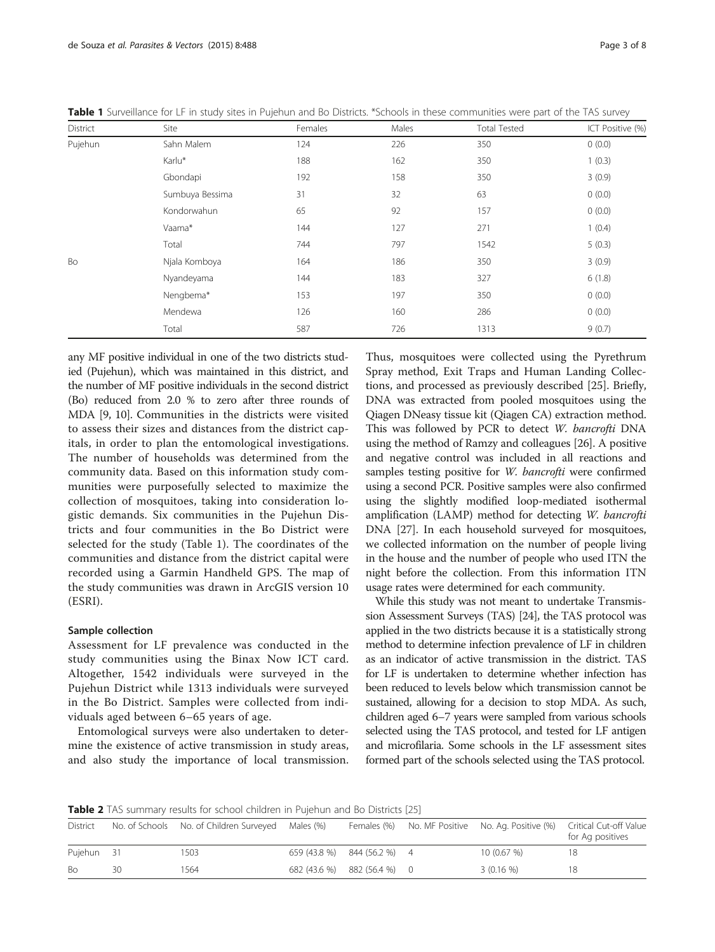| District | Site            | Females | Males | <b>Total Tested</b> | ICT Positive (%) |
|----------|-----------------|---------|-------|---------------------|------------------|
| Pujehun  | Sahn Malem      | 124     | 226   | 350                 | 0(0.0)           |
|          | Karlu*          | 188     | 162   | 350                 | 1(0.3)           |
|          | Gbondapi        | 192     | 158   | 350                 | 3(0.9)           |
|          | Sumbuya Bessima | 31      | 32    | 63                  | 0(0.0)           |
|          | Kondorwahun     | 65      | 92    | 157                 | 0(0.0)           |
|          | Vaama*          | 144     | 127   | 271                 | 1(0.4)           |
|          | Total           | 744     | 797   | 1542                | 5(0.3)           |
| Bo       | Njala Komboya   | 164     | 186   | 350                 | 3(0.9)           |
|          | Nyandeyama      | 144     | 183   | 327                 | 6(1.8)           |
|          | Nengbema*       | 153     | 197   | 350                 | 0(0.0)           |
|          | Mendewa         | 126     | 160   | 286                 | 0(0.0)           |
|          | Total           | 587     | 726   | 1313                | 9(0.7)           |

<span id="page-2-0"></span>Table 1 Surveillance for LF in study sites in Pujehun and Bo Districts. \*Schools in these communities were part of the TAS survey

any MF positive individual in one of the two districts studied (Pujehun), which was maintained in this district, and the number of MF positive individuals in the second district (Bo) reduced from 2.0 % to zero after three rounds of MDA [[9](#page-6-0), [10](#page-6-0)]. Communities in the districts were visited to assess their sizes and distances from the district capitals, in order to plan the entomological investigations. The number of households was determined from the community data. Based on this information study communities were purposefully selected to maximize the collection of mosquitoes, taking into consideration logistic demands. Six communities in the Pujehun Districts and four communities in the Bo District were selected for the study (Table 1). The coordinates of the communities and distance from the district capital were recorded using a Garmin Handheld GPS. The map of the study communities was drawn in ArcGIS version 10 (ESRI).

#### Sample collection

Assessment for LF prevalence was conducted in the study communities using the Binax Now ICT card. Altogether, 1542 individuals were surveyed in the Pujehun District while 1313 individuals were surveyed in the Bo District. Samples were collected from individuals aged between 6–65 years of age.

Entomological surveys were also undertaken to determine the existence of active transmission in study areas, and also study the importance of local transmission. Thus, mosquitoes were collected using the Pyrethrum Spray method, Exit Traps and Human Landing Collections, and processed as previously described [[25](#page-6-0)]. Briefly, DNA was extracted from pooled mosquitoes using the Qiagen DNeasy tissue kit (Qiagen CA) extraction method. This was followed by PCR to detect W. bancrofti DNA using the method of Ramzy and colleagues [\[26\]](#page-6-0). A positive and negative control was included in all reactions and samples testing positive for W. bancrofti were confirmed using a second PCR. Positive samples were also confirmed using the slightly modified loop-mediated isothermal amplification (LAMP) method for detecting W. bancrofti DNA [[27](#page-6-0)]. In each household surveyed for mosquitoes, we collected information on the number of people living in the house and the number of people who used ITN the night before the collection. From this information ITN usage rates were determined for each community.

While this study was not meant to undertake Transmission Assessment Surveys (TAS) [\[24\]](#page-6-0), the TAS protocol was applied in the two districts because it is a statistically strong method to determine infection prevalence of LF in children as an indicator of active transmission in the district. TAS for LF is undertaken to determine whether infection has been reduced to levels below which transmission cannot be sustained, allowing for a decision to stop MDA. As such, children aged 6–7 years were sampled from various schools selected using the TAS protocol, and tested for LF antigen and microfilaria. Some schools in the LF assessment sites formed part of the schools selected using the TAS protocol.

Table 2 TAS summary results for school children in Pujehun and Bo Districts [\[25\]](#page-6-0)

| District   |    | No. of Schools No. of Children Surveyed Males (%) |                             | Females (%) No. MF Positive No. Ag. Positive (%) | Critical Cut-off Value<br>for Ag positives |
|------------|----|---------------------------------------------------|-----------------------------|--------------------------------------------------|--------------------------------------------|
| Pujehun 31 |    | 1503                                              | 659 (43.8 %) 844 (56.2 %) 4 | 10 (0.67 %)                                      | 18                                         |
| Bo         | 30 | 1564                                              | 682 (43.6 %) 882 (56.4 %) 0 | $3(0.16\%)$                                      | 18                                         |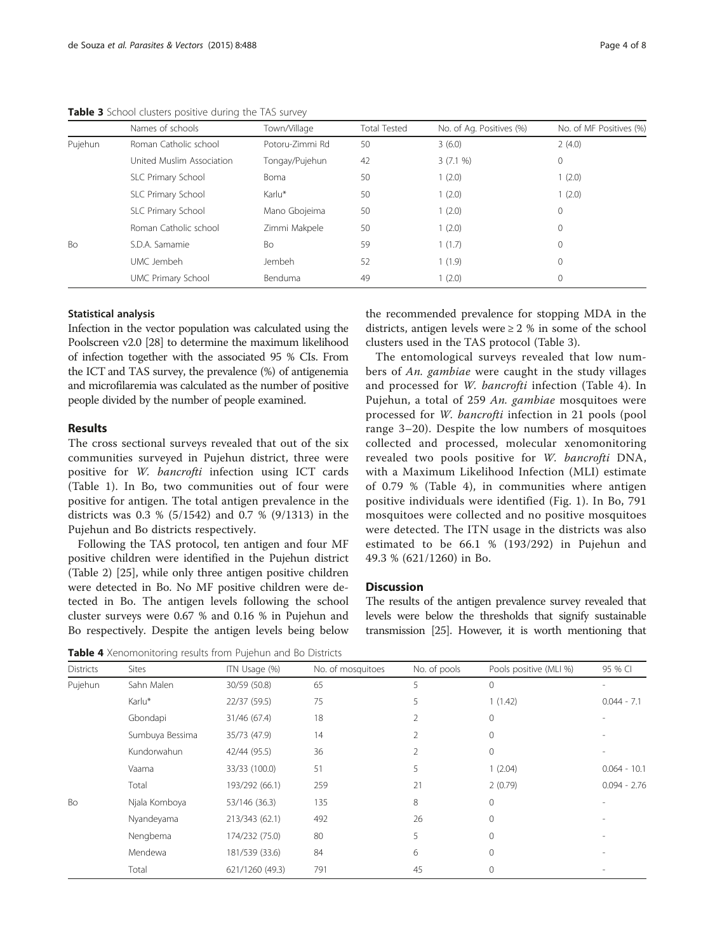|         | Names of schools          | Town/Village    | <b>Total Tested</b> | No. of Ag. Positives (%) | No. of MF Positives (%) |
|---------|---------------------------|-----------------|---------------------|--------------------------|-------------------------|
| Pujehun | Roman Catholic school     | Potoru-Zimmi Rd | 50                  | 3(6.0)                   | 2(4.0)                  |
|         | United Muslim Association | Tongay/Pujehun  | 42                  | 3(7.1%                   | $\mathbf{0}$            |
|         | SLC Primary School        | Boma            | 50                  | 1(2.0)                   | 1(2.0)                  |
|         | SLC Primary School        | Karlu*          | 50                  | 1(2.0)                   | 1(2.0)                  |
|         | SLC Primary School        | Mano Gbojeima   | 50                  | 1(2.0)                   | $\mathbf{0}$            |
|         | Roman Catholic school     | Zimmi Makpele   | 50                  | 1(2.0)                   | $\mathbf 0$             |
| Bo      | S.D.A. Samamie            | Bo              | 59                  | 1(1.7)                   | $\mathbf{0}$            |
|         | UMC Jembeh                | Jembeh          | 52                  | 1(1.9)                   | $\mathbf{0}$            |
|         | <b>UMC Primary School</b> | <b>Benduma</b>  | 49                  | 1(2.0)                   | $\circ$                 |

Table 3 School clusters positive during the TAS survey

#### Statistical analysis

Infection in the vector population was calculated using the Poolscreen v2.0 [\[28](#page-6-0)] to determine the maximum likelihood of infection together with the associated 95 % CIs. From the ICT and TAS survey, the prevalence (%) of antigenemia and microfilaremia was calculated as the number of positive people divided by the number of people examined.

#### Results

The cross sectional surveys revealed that out of the six communities surveyed in Pujehun district, three were positive for W. bancrofti infection using ICT cards (Table [1\)](#page-2-0). In Bo, two communities out of four were positive for antigen. The total antigen prevalence in the districts was 0.3 % (5/1542) and 0.7 % (9/1313) in the Pujehun and Bo districts respectively.

Following the TAS protocol, ten antigen and four MF positive children were identified in the Pujehun district (Table [2](#page-2-0)) [\[25\]](#page-6-0), while only three antigen positive children were detected in Bo. No MF positive children were detected in Bo. The antigen levels following the school cluster surveys were 0.67 % and 0.16 % in Pujehun and Bo respectively. Despite the antigen levels being below

the recommended prevalence for stopping MDA in the districts, antigen levels were  $\geq 2$  % in some of the school clusters used in the TAS protocol (Table 3).

The entomological surveys revealed that low numbers of An. gambiae were caught in the study villages and processed for W. bancrofti infection (Table 4). In Pujehun, a total of 259 An. gambiae mosquitoes were processed for W. bancrofti infection in 21 pools (pool range 3–20). Despite the low numbers of mosquitoes collected and processed, molecular xenomonitoring revealed two pools positive for W. bancrofti DNA, with a Maximum Likelihood Infection (MLI) estimate of 0.79 % (Table 4), in communities where antigen positive individuals were identified (Fig. [1\)](#page-4-0). In Bo, 791 mosquitoes were collected and no positive mosquitoes were detected. The ITN usage in the districts was also estimated to be 66.1 % (193/292) in Pujehun and 49.3 % (621/1260) in Bo.

#### **Discussion**

The results of the antigen prevalence survey revealed that levels were below the thresholds that signify sustainable transmission [\[25\]](#page-6-0). However, it is worth mentioning that

Table 4 Xenomonitoring results from Pujehun and Bo Districts

| <b>Districts</b> | Sites           | ITN Usage (%)   | No. of mosquitoes | No. of pools | Pools positive (MLI %) | 95 % CI                  |
|------------------|-----------------|-----------------|-------------------|--------------|------------------------|--------------------------|
| Pujehun          | Sahn Malen      | 30/59 (50.8)    | 65                | 5            | 0                      | $\overline{\phantom{a}}$ |
|                  | Karlu*          | 22/37 (59.5)    | 75                | 5            | 1(1.42)                | $0.044 - 7.1$            |
|                  | Gbondapi        | 31/46 (67.4)    | 18                | 2            | 0                      | $\overline{\phantom{a}}$ |
|                  | Sumbuya Bessima | 35/73 (47.9)    | 14                | 2            | $\Omega$               |                          |
|                  | Kundorwahun     | 42/44 (95.5)    | 36                | 2            | 0                      |                          |
|                  | Vaama           | 33/33 (100.0)   | 51                | 5            | 1(2.04)                | $0.064 - 10.1$           |
|                  | Total           | 193/292 (66.1)  | 259               | 21           | 2(0.79)                | $0.094 - 2.76$           |
| Bo               | Njala Komboya   | 53/146 (36.3)   | 135               | 8            | $\Omega$               |                          |
|                  | Nyandeyama      | 213/343 (62.1)  | 492               | 26           | $\Omega$               | $\overline{\phantom{a}}$ |
|                  | Nengbema        | 174/232 (75.0)  | 80                | 5            | $\Omega$               |                          |
|                  | Mendewa         | 181/539 (33.6)  | 84                | 6            | $\Omega$               |                          |
|                  | Total           | 621/1260 (49.3) | 791               | 45           | $\Omega$               |                          |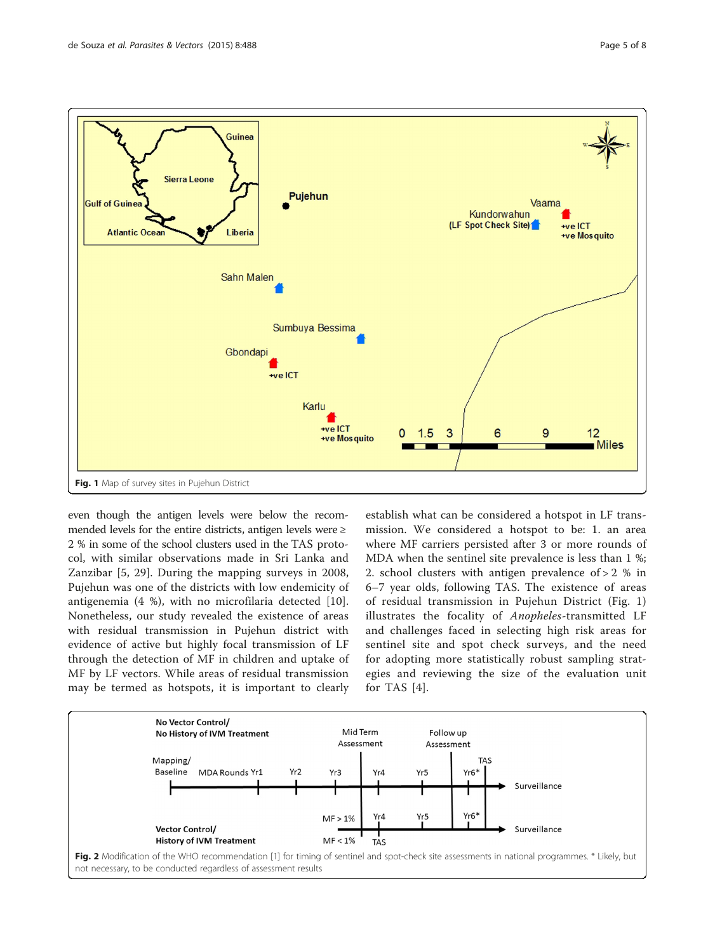

<span id="page-4-0"></span>

even though the antigen levels were below the recommended levels for the entire districts, antigen levels were ≥ 2 % in some of the school clusters used in the TAS protocol, with similar observations made in Sri Lanka and Zanzibar [[5, 29\]](#page-6-0). During the mapping surveys in 2008, Pujehun was one of the districts with low endemicity of antigenemia (4 %), with no microfilaria detected [\[10](#page-6-0)]. Nonetheless, our study revealed the existence of areas with residual transmission in Pujehun district with evidence of active but highly focal transmission of LF through the detection of MF in children and uptake of MF by LF vectors. While areas of residual transmission may be termed as hotspots, it is important to clearly

establish what can be considered a hotspot in LF transmission. We considered a hotspot to be: 1. an area where MF carriers persisted after 3 or more rounds of MDA when the sentinel site prevalence is less than 1 %; 2. school clusters with antigen prevalence of > 2 % in 6–7 year olds, following TAS. The existence of areas of residual transmission in Pujehun District (Fig. 1) illustrates the focality of Anopheles-transmitted LF and challenges faced in selecting high risk areas for sentinel site and spot check surveys, and the need for adopting more statistically robust sampling strategies and reviewing the size of the evaluation unit for TAS [[4\]](#page-6-0).

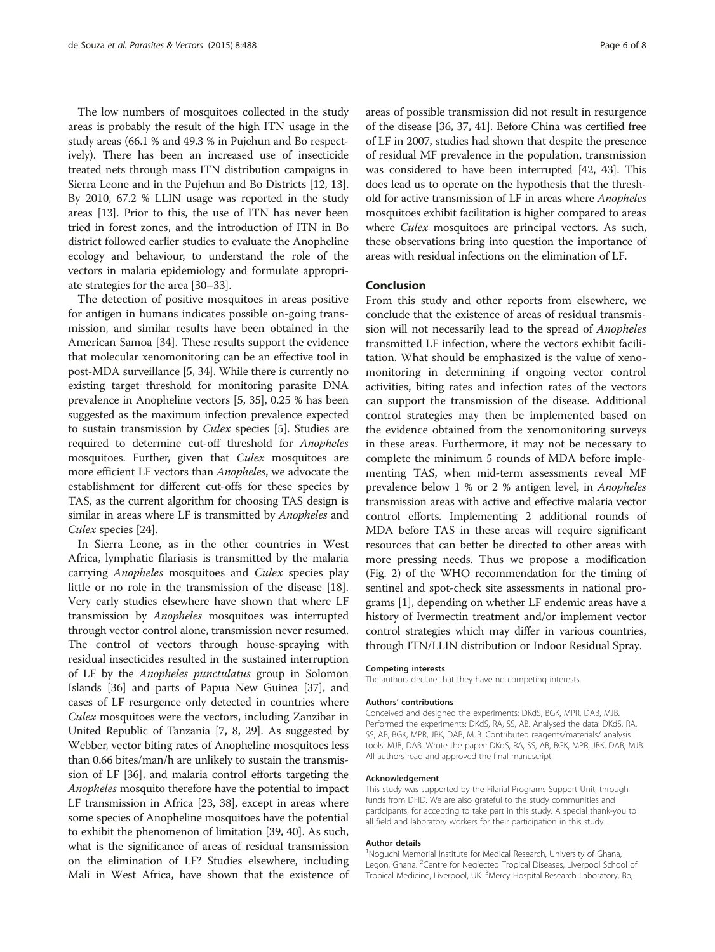The low numbers of mosquitoes collected in the study areas is probably the result of the high ITN usage in the study areas (66.1 % and 49.3 % in Pujehun and Bo respectively). There has been an increased use of insecticide treated nets through mass ITN distribution campaigns in Sierra Leone and in the Pujehun and Bo Districts [\[12, 13](#page-6-0)]. By 2010, 67.2 % LLIN usage was reported in the study areas [\[13\]](#page-6-0). Prior to this, the use of ITN has never been tried in forest zones, and the introduction of ITN in Bo district followed earlier studies to evaluate the Anopheline ecology and behaviour, to understand the role of the vectors in malaria epidemiology and formulate appropriate strategies for the area [\[30](#page-6-0)–[33](#page-6-0)].

The detection of positive mosquitoes in areas positive for antigen in humans indicates possible on-going transmission, and similar results have been obtained in the American Samoa [\[34\]](#page-6-0). These results support the evidence that molecular xenomonitoring can be an effective tool in post-MDA surveillance [\[5](#page-6-0), [34\]](#page-6-0). While there is currently no existing target threshold for monitoring parasite DNA prevalence in Anopheline vectors [[5](#page-6-0), [35](#page-6-0)], 0.25 % has been suggested as the maximum infection prevalence expected to sustain transmission by Culex species [\[5](#page-6-0)]. Studies are required to determine cut-off threshold for Anopheles mosquitoes. Further, given that Culex mosquitoes are more efficient LF vectors than Anopheles, we advocate the establishment for different cut-offs for these species by TAS, as the current algorithm for choosing TAS design is similar in areas where LF is transmitted by Anopheles and Culex species [\[24](#page-6-0)].

In Sierra Leone, as in the other countries in West Africa, lymphatic filariasis is transmitted by the malaria carrying Anopheles mosquitoes and Culex species play little or no role in the transmission of the disease [\[18](#page-6-0)]. Very early studies elsewhere have shown that where LF transmission by Anopheles mosquitoes was interrupted through vector control alone, transmission never resumed. The control of vectors through house-spraying with residual insecticides resulted in the sustained interruption of LF by the Anopheles punctulatus group in Solomon Islands [\[36](#page-6-0)] and parts of Papua New Guinea [\[37\]](#page-6-0), and cases of LF resurgence only detected in countries where Culex mosquitoes were the vectors, including Zanzibar in United Republic of Tanzania [\[7](#page-6-0), [8](#page-6-0), [29](#page-6-0)]. As suggested by Webber, vector biting rates of Anopheline mosquitoes less than 0.66 bites/man/h are unlikely to sustain the transmission of LF [\[36\]](#page-6-0), and malaria control efforts targeting the Anopheles mosquito therefore have the potential to impact LF transmission in Africa [[23](#page-6-0), [38\]](#page-6-0), except in areas where some species of Anopheline mosquitoes have the potential to exhibit the phenomenon of limitation [\[39, 40](#page-6-0)]. As such, what is the significance of areas of residual transmission on the elimination of LF? Studies elsewhere, including Mali in West Africa, have shown that the existence of areas of possible transmission did not result in resurgence of the disease [[36, 37](#page-6-0), [41](#page-7-0)]. Before China was certified free of LF in 2007, studies had shown that despite the presence of residual MF prevalence in the population, transmission was considered to have been interrupted [[42](#page-7-0), [43\]](#page-7-0). This does lead us to operate on the hypothesis that the threshold for active transmission of LF in areas where Anopheles mosquitoes exhibit facilitation is higher compared to areas where *Culex* mosquitoes are principal vectors. As such, these observations bring into question the importance of areas with residual infections on the elimination of LF.

#### Conclusion

From this study and other reports from elsewhere, we conclude that the existence of areas of residual transmission will not necessarily lead to the spread of Anopheles transmitted LF infection, where the vectors exhibit facilitation. What should be emphasized is the value of xenomonitoring in determining if ongoing vector control activities, biting rates and infection rates of the vectors can support the transmission of the disease. Additional control strategies may then be implemented based on the evidence obtained from the xenomonitoring surveys in these areas. Furthermore, it may not be necessary to complete the minimum 5 rounds of MDA before implementing TAS, when mid-term assessments reveal MF prevalence below 1 % or 2 % antigen level, in Anopheles transmission areas with active and effective malaria vector control efforts. Implementing 2 additional rounds of MDA before TAS in these areas will require significant resources that can better be directed to other areas with more pressing needs. Thus we propose a modification (Fig. [2\)](#page-4-0) of the WHO recommendation for the timing of sentinel and spot-check site assessments in national programs [[1\]](#page-6-0), depending on whether LF endemic areas have a history of Ivermectin treatment and/or implement vector control strategies which may differ in various countries, through ITN/LLIN distribution or Indoor Residual Spray.

#### Competing interests

The authors declare that they have no competing interests.

#### Authors' contributions

Conceived and designed the experiments: DKdS, BGK, MPR, DAB, MJB. Performed the experiments: DKdS, RA, SS, AB. Analysed the data: DKdS, RA, SS, AB, BGK, MPR, JBK, DAB, MJB. Contributed reagents/materials/ analysis tools: MJB, DAB. Wrote the paper: DKdS, RA, SS, AB, BGK, MPR, JBK, DAB, MJB. All authors read and approved the final manuscript.

#### Acknowledgement

This study was supported by the Filarial Programs Support Unit, through funds from DFID. We are also grateful to the study communities and participants, for accepting to take part in this study. A special thank-you to all field and laboratory workers for their participation in this study.

#### Author details

<sup>1</sup>Noguchi Memorial Institute for Medical Research, University of Ghana, Legon, Ghana. <sup>2</sup> Centre for Neglected Tropical Diseases, Liverpool School of Tropical Medicine, Liverpool, UK. <sup>3</sup>Mercy Hospital Research Laboratory, Bo,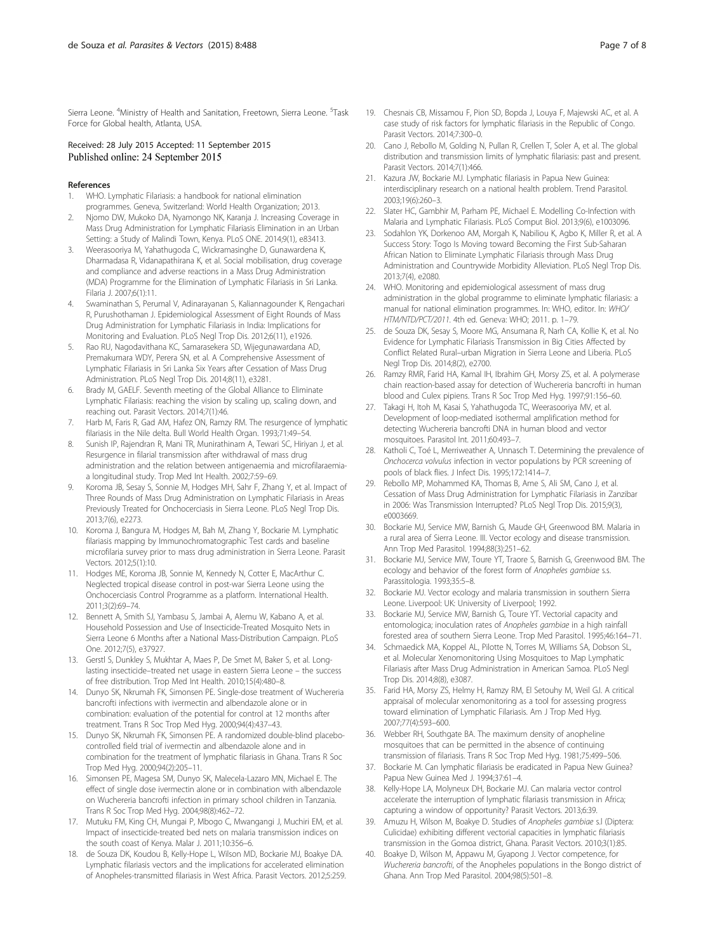<span id="page-6-0"></span>Sierra Leone. <sup>4</sup>Ministry of Health and Sanitation, Freetown, Sierra Leone. <sup>5</sup>Task Force for Global health, Atlanta, USA.

## Received: 28 July 2015 Accepted: 11 September 2015<br>Published online: 24 September 2015

#### References

- 1. WHO. Lymphatic Filariasis: a handbook for national elimination programmes. Geneva, Switzerland: World Health Organization; 2013.
- 2. Njomo DW, Mukoko DA, Nyamongo NK, Karanja J. Increasing Coverage in Mass Drug Administration for Lymphatic Filariasis Elimination in an Urban Setting: a Study of Malindi Town, Kenya. PLoS ONE. 2014;9(1), e83413.
- 3. Weerasooriya M, Yahathugoda C, Wickramasinghe D, Gunawardena K, Dharmadasa R, Vidanapathirana K, et al. Social mobilisation, drug coverage and compliance and adverse reactions in a Mass Drug Administration (MDA) Programme for the Elimination of Lymphatic Filariasis in Sri Lanka. Filaria J. 2007;6(1):11.
- 4. Swaminathan S, Perumal V, Adinarayanan S, Kaliannagounder K, Rengachari R, Purushothaman J. Epidemiological Assessment of Eight Rounds of Mass Drug Administration for Lymphatic Filariasis in India: Implications for Monitoring and Evaluation. PLoS Negl Trop Dis. 2012;6(11), e1926.
- 5. Rao RU, Nagodavithana KC, Samarasekera SD, Wijegunawardana AD, Premakumara WDY, Perera SN, et al. A Comprehensive Assessment of Lymphatic Filariasis in Sri Lanka Six Years after Cessation of Mass Drug Administration. PLoS Negl Trop Dis. 2014;8(11), e3281.
- Brady M, GAELF. Seventh meeting of the Global Alliance to Eliminate Lymphatic Filariasis: reaching the vision by scaling up, scaling down, and reaching out. Parasit Vectors. 2014;7(1):46.
- 7. Harb M, Faris R, Gad AM, Hafez ON, Ramzy RM. The resurgence of lymphatic filariasis in the Nile delta. Bull World Health Organ. 1993;71:49–54.
- Sunish IP, Rajendran R, Mani TR, Munirathinam A, Tewari SC, Hiriyan J, et al. Resurgence in filarial transmission after withdrawal of mass drug administration and the relation between antigenaemia and microfilaraemiaa longitudinal study. Trop Med Int Health. 2002;7:59–69.
- 9. Koroma JB, Sesay S, Sonnie M, Hodges MH, Sahr F, Zhang Y, et al. Impact of Three Rounds of Mass Drug Administration on Lymphatic Filariasis in Areas Previously Treated for Onchocerciasis in Sierra Leone. PLoS Negl Trop Dis. 2013;7(6), e2273.
- 10. Koroma J, Bangura M, Hodges M, Bah M, Zhang Y, Bockarie M. Lymphatic filariasis mapping by Immunochromatographic Test cards and baseline microfilaria survey prior to mass drug administration in Sierra Leone. Parasit Vectors. 2012;5(1):10.
- 11. Hodges ME, Koroma JB, Sonnie M, Kennedy N, Cotter E, MacArthur C. Neglected tropical disease control in post-war Sierra Leone using the Onchocerciasis Control Programme as a platform. International Health. 2011;3(2):69–74.
- 12. Bennett A, Smith SJ, Yambasu S, Jambai A, Alemu W, Kabano A, et al. Household Possession and Use of Insecticide-Treated Mosquito Nets in Sierra Leone 6 Months after a National Mass-Distribution Campaign. PLoS One. 2012;7(5), e37927.
- 13. Gerstl S, Dunkley S, Mukhtar A, Maes P, De Smet M, Baker S, et al. Longlasting insecticide–treated net usage in eastern Sierra Leone – the success of free distribution. Trop Med Int Health. 2010;15(4):480–8.
- 14. Dunyo SK, Nkrumah FK, Simonsen PE. Single-dose treatment of Wuchereria bancrofti infections with ivermectin and albendazole alone or in combination: evaluation of the potential for control at 12 months after treatment. Trans R Soc Trop Med Hyg. 2000;94(4):437–43.
- 15. Dunyo SK, Nkrumah FK, Simonsen PE. A randomized double-blind placebocontrolled field trial of ivermectin and albendazole alone and in combination for the treatment of lymphatic filariasis in Ghana. Trans R Soc Trop Med Hyg. 2000;94(2):205–11.
- 16. Simonsen PE, Magesa SM, Dunyo SK, Malecela-Lazaro MN, Michael E. The effect of single dose ivermectin alone or in combination with albendazole on Wuchereria bancrofti infection in primary school children in Tanzania. Trans R Soc Trop Med Hyg. 2004;98(8):462–72.
- 17. Mutuku FM, King CH, Mungai P, Mbogo C, Mwangangi J, Muchiri EM, et al. Impact of insecticide-treated bed nets on malaria transmission indices on the south coast of Kenya. Malar J. 2011;10:356–6.
- 18. de Souza DK, Koudou B, Kelly-Hope L, Wilson MD, Bockarie MJ, Boakye DA. Lymphatic filariasis vectors and the implications for accelerated elimination of Anopheles-transmitted filariasis in West Africa. Parasit Vectors. 2012;5:259.
- 19. Chesnais CB, Missamou F, Pion SD, Bopda J, Louya F, Majewski AC, et al. A case study of risk factors for lymphatic filariasis in the Republic of Congo. Parasit Vectors. 2014;7:300–0.
- 20. Cano J, Rebollo M, Golding N, Pullan R, Crellen T, Soler A, et al. The global distribution and transmission limits of lymphatic filariasis: past and present. Parasit Vectors. 2014;7(1):466.
- 21. Kazura JW, Bockarie MJ. Lymphatic filariasis in Papua New Guinea: interdisciplinary research on a national health problem. Trend Parasitol. 2003;19(6):260–3.
- 22. Slater HC, Gambhir M, Parham PE, Michael E. Modelling Co-Infection with Malaria and Lymphatic Filariasis. PLoS Comput Biol. 2013;9(6), e1003096.
- 23. Sodahlon YK, Dorkenoo AM, Morgah K, Nabiliou K, Agbo K, Miller R, et al. A Success Story: Togo Is Moving toward Becoming the First Sub-Saharan African Nation to Eliminate Lymphatic Filariasis through Mass Drug Administration and Countrywide Morbidity Alleviation. PLoS Negl Trop Dis. 2013;7(4), e2080.
- 24. WHO. Monitoring and epidemiological assessment of mass drug administration in the global programme to eliminate lymphatic filariasis: a manual for national elimination programmes. In: WHO, editor. In: WHO/ HTM/NTD/PCT/2011. 4th ed. Geneva: WHO; 2011. p. 1–79.
- 25. de Souza DK, Sesay S, Moore MG, Ansumana R, Narh CA, Kollie K, et al. No Evidence for Lymphatic Filariasis Transmission in Big Cities Affected by Conflict Related Rural–urban Migration in Sierra Leone and Liberia. PLoS Negl Trop Dis. 2014;8(2), e2700.
- 26. Ramzy RMR, Farid HA, Kamal IH, Ibrahim GH, Morsy ZS, et al. A polymerase chain reaction-based assay for detection of Wuchereria bancrofti in human blood and Culex pipiens. Trans R Soc Trop Med Hyg. 1997;91:156–60.
- 27. Takagi H, Itoh M, Kasai S, Yahathugoda TC, Weerasooriya MV, et al. Development of loop-mediated isothermal amplification method for detecting Wuchereria bancrofti DNA in human blood and vector mosquitoes. Parasitol Int. 2011;60:493–7.
- 28. Katholi C, Toé L, Merriweather A, Unnasch T. Determining the prevalence of Onchocerca volvulus infection in vector populations by PCR screening of pools of black flies. J Infect Dis. 1995;172:1414–7.
- 29. Rebollo MP, Mohammed KA, Thomas B, Ame S, Ali SM, Cano J, et al. Cessation of Mass Drug Administration for Lymphatic Filariasis in Zanzibar in 2006: Was Transmission Interrupted? PLoS Negl Trop Dis. 2015;9(3), e0003669.
- 30. Bockarie MJ, Service MW, Barnish G, Maude GH, Greenwood BM. Malaria in a rural area of Sierra Leone. III. Vector ecology and disease transmission. Ann Trop Med Parasitol. 1994;88(3):251–62.
- 31. Bockarie MJ, Service MW, Toure YT, Traore S, Barnish G, Greenwood BM. The ecology and behavior of the forest form of Anopheles gambiae s.s. Parassitologia. 1993;35:5–8.
- 32. Bockarie MJ. Vector ecology and malaria transmission in southern Sierra Leone. Liverpool: UK: University of Liverpool; 1992.
- 33. Bockarie MJ, Service MW, Barnish G, Toure YT. Vectorial capacity and entomologica; inoculation rates of Anopheles gambiae in a high rainfall forested area of southern Sierra Leone. Trop Med Parasitol. 1995;46:164–71.
- 34. Schmaedick MA, Koppel AL, Pilotte N, Torres M, Williams SA, Dobson SL, et al. Molecular Xenomonitoring Using Mosquitoes to Map Lymphatic Filariasis after Mass Drug Administration in American Samoa. PLoS Negl Trop Dis. 2014;8(8), e3087.
- 35. Farid HA, Morsy ZS, Helmy H, Ramzy RM, El Setouhy M, Weil GJ. A critical appraisal of molecular xenomonitoring as a tool for assessing progress toward elimination of Lymphatic Filariasis. Am J Trop Med Hyg. 2007;77(4):593–600.
- 36. Webber RH, Southgate BA. The maximum density of anopheline mosquitoes that can be permitted in the absence of continuing transmission of filariasis. Trans R Soc Trop Med Hyg. 1981;75:499–506.
- 37. Bockarie M. Can lymphatic filariasis be eradicated in Papua New Guinea? Papua New Guinea Med J. 1994;37:61–4.
- 38. Kelly-Hope LA, Molyneux DH, Bockarie MJ. Can malaria vector control accelerate the interruption of lymphatic filariasis transmission in Africa; capturing a window of opportunity? Parasit Vectors. 2013;6:39.
- 39. Amuzu H, Wilson M, Boakye D. Studies of Anopheles gambiae s.l (Diptera: Culicidae) exhibiting different vectorial capacities in lymphatic filariasis transmission in the Gomoa district, Ghana. Parasit Vectors. 2010;3(1):85.
- 40. Boakye D, Wilson M, Appawu M, Gyapong J. Vector competence, for Wuchereria bancrofti, of the Anopheles populations in the Bongo district of Ghana. Ann Trop Med Parasitol. 2004;98(5):501–8.